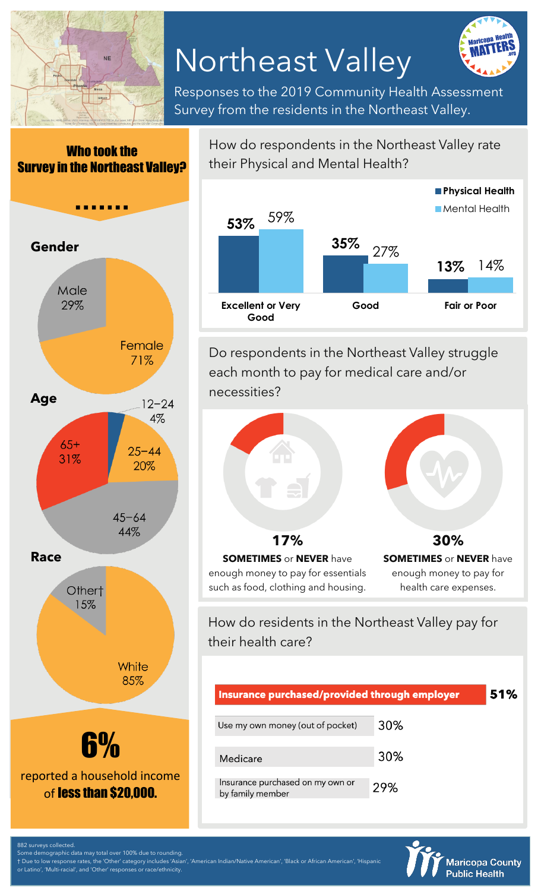

# Northeast Valley

Responses to the 2019 Community Health Assessment Survey from the residents in the Northeast Valley.

Who took the Survey in the Northeast Valley?



How do respondents in the Northeast Valley rate their Physical and Mental Health?



Do respondents in the Northeast Valley struggle each month to pay for medical care and/or necessities?



enough money to pay for health care expenses.

How do residents in the Northeast Valley pay for their health care?

enough money to pay for essentials such as food, clothing and housing.

| Insurance purchased/provided through employer        |     | 51% |
|------------------------------------------------------|-----|-----|
| Use my own money (out of pocket)                     | 30% |     |
| Medicare                                             | 30% |     |
| Insurance purchased on my own or<br>by family member | 29% |     |



882 surveys collected.

Some demographic data may total over 100% due to rounding. † Due to low response rates, the 'Other' category includes 'Asian', 'American Indian/Native American', 'Black or African American', 'Hispanic

Latino', 'Multi-racial', and 'Other' responses or race/ethnicity.